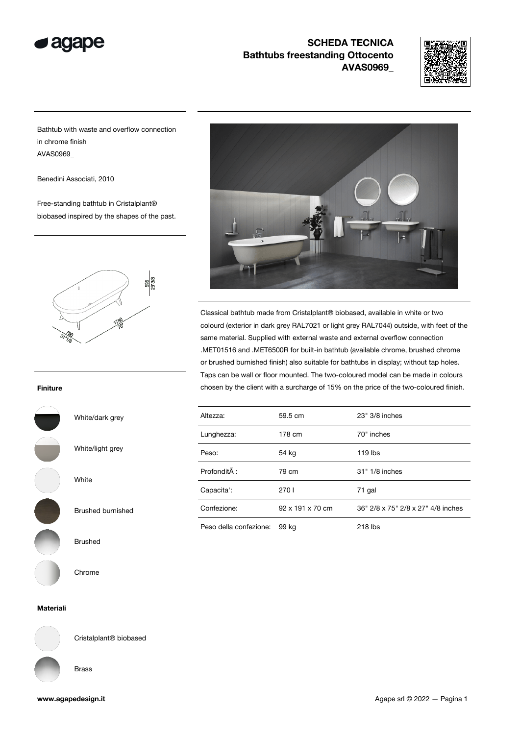



Bathtub with waste and overflow connection in chrome finish AVAS0969\_

Benedini Associati, 2010

Free-standing bathtub in Cristalplant® biobased inspired by the shapes of the past.



White/dark grey

White/light grey

Brushed burnished



Classical bathtub made from Cristalplant® biobased, available in white or two colourd (exterior in dark grey RAL7021 or light grey RAL7044) outside, with feet of the same material. Supplied with external waste and external overflow connection .MET01516 and .MET6500R for built-in bathtub (available chrome, brushed chrome or brushed burnished finish) also suitable for bathtubs in display; without tap holes. Taps can be wall or floor mounted. The two-coloured model can be made in colours chosen by the client with a surcharge of 15% on the price of the two-coloured finish.

| Altezza:               | 59.5 cm          | 23" 3/8 inches                     |  |
|------------------------|------------------|------------------------------------|--|
| Lunghezza:             | 178 cm           | 70" inches                         |  |
| Peso:                  | 54 kg            | $119$ lbs                          |  |
| Profondità :           | 79 cm            | 31" 1/8 inches                     |  |
| Capacita':             | 2701             | 71 gal                             |  |
| Confezione:            | 92 x 191 x 70 cm | 36" 2/8 x 75" 2/8 x 27" 4/8 inches |  |
| Peso della confezione: | 99 kg            | $218$ lbs                          |  |

#### Finiture

Brushed

**White** 

Chrome

#### Materiali

Cristalplant® biobased

Brass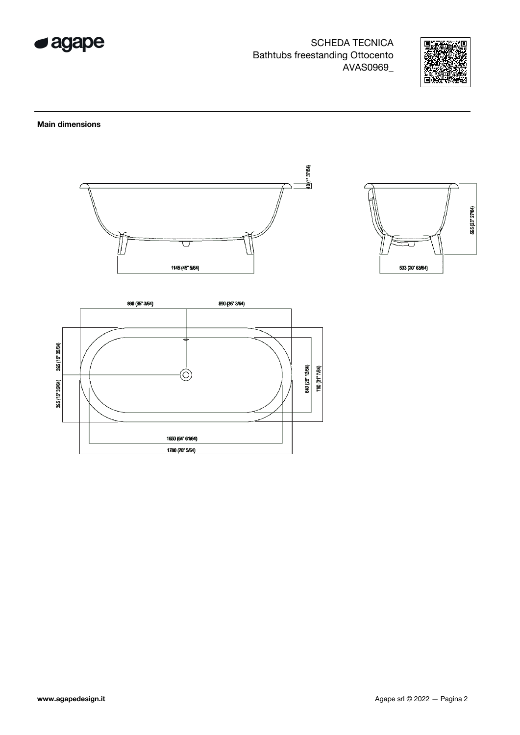



#### **Main dimensions**



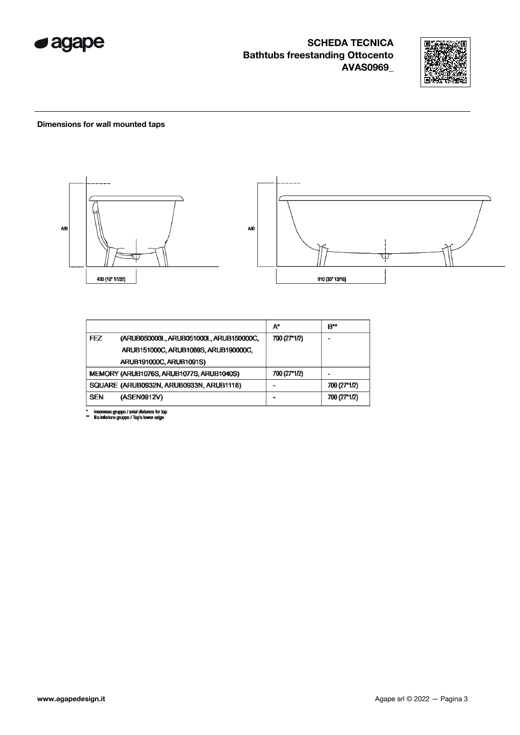



#### Dimensions for wall mounted taps



|            |                                          | A*           | $B^{**}$     |
|------------|------------------------------------------|--------------|--------------|
| FEZ        | (ARUB050000L, ARUB051000L, ARUB150000C,  | 700 (27"1/2) |              |
|            | ARUB151000C, ARUB1089S, ARUB190000C,     |              |              |
|            | ARUB191000C, ARUB1091S)                  |              |              |
|            | MEMORY (ARUB1076S, ARUB1077S, ARUB1040S) | 700 (27"1/2) |              |
|            | SQUARE (ARUB0932N, ARUB0933N, ARUB1118)  |              | 700 (27"1/2) |
| <b>SEN</b> | (ASEN0912V)                              |              | 700 (27"1/2) |

\* inserasse gruppo / axial distance for tap<br>\*\* filo inferiore gruppo / Tap's lower edge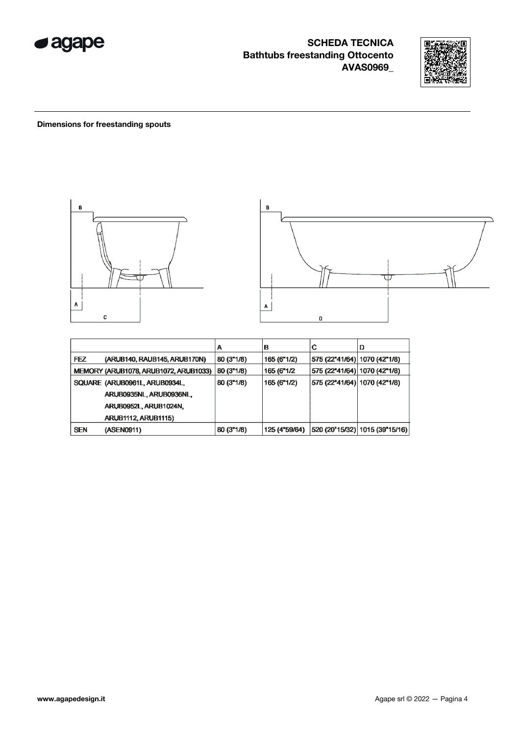



### Dimensions for freestanding spouts



|            |                                       | А          | в             | ΙC                             | D                                |
|------------|---------------------------------------|------------|---------------|--------------------------------|----------------------------------|
| <b>FEZ</b> | (ARUB140, RAUB145, ARUB170N)          | 80(3"1/8)  | 165(6"1/2)    | 575 (22"41/64)   1070 (42"1/8) |                                  |
|            | MEMORY (ARUB1078, ARUB1072, ARUB1033) | 80 (3"1/8) | 165 (6"1/2    | 575 (22"41/64)   1070 (42"1/8) |                                  |
|            | SQUARE (ARUB0961L, ARUB0934L,         | 80 (3"1/8) | 165 (6"1/2)   | 575 (22"41/64)   1070 (42"1/8) |                                  |
|            | ARUB0935NL, ARUB0936NL,               |            |               |                                |                                  |
|            | <b>ARUB0952L, ARUB1024N,</b>          |            |               |                                |                                  |
|            | <b>ARUB1112, ARUB1115)</b>            |            |               |                                |                                  |
| <b>SEN</b> | (ASEN0911)                            | 80 (3"1/8) | 125 (4"59/64) |                                | 520 (20"15/32)   1015 (39"15/16) |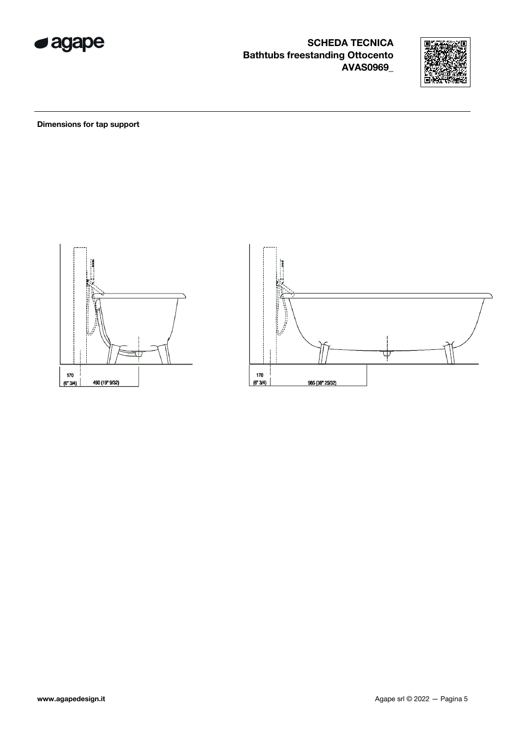



Dimensions for tap support

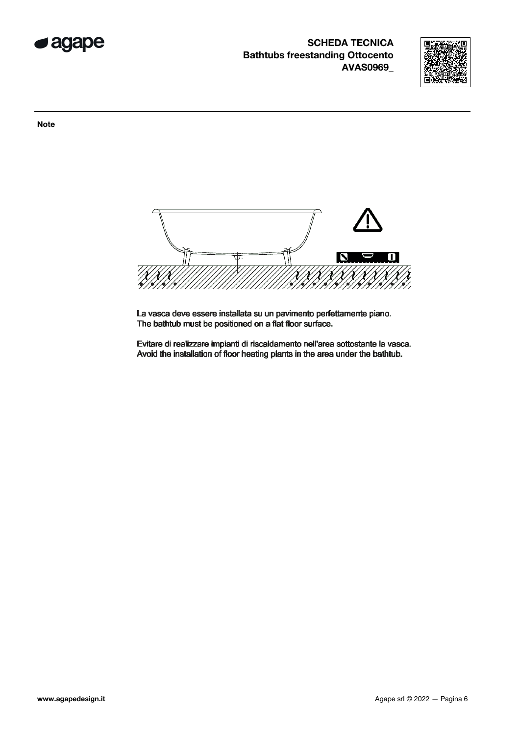



**Note** 



La vasca deve essere installata su un pavimento perfettamente piano. The bathtub must be positioned on a flat floor surface.

Evitare di realizzare impianti di riscaldamento nell'area sottostante la vasca. Avoid the installation of floor heating plants in the area under the bathtub.